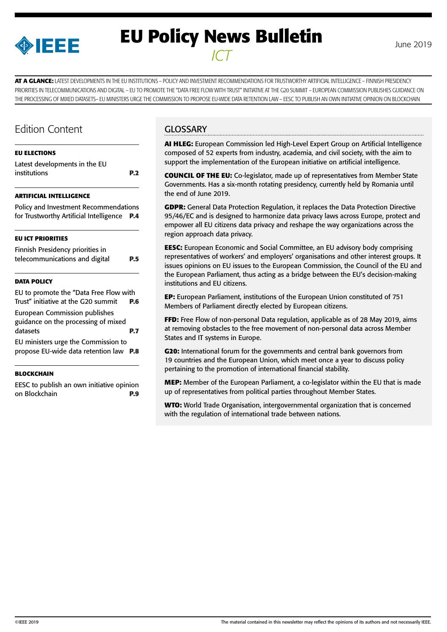

# **EU Policy News Bulletin** June 2019 *ICT*

**AT A GLANCE:** LATEST DEVELOPMENTS IN THE EU INSTITUTIONS – POLICY AND INVESTMENT RECOMMENDATIONS FOR TRUSTWORTHY ARTIFICIAL INTELLIGENCE – FINNISH PRESIDENCY PRIORITIES IN TELECOMMUNICATIONS AND DIGITAL – EU TO PROMOTE THE "DATA FREE FLOW WITH TRUST" INITIATIVE AT THE G20 SUMMIT – EUROPEAN COMMISSION PUBLISHES GUIDANCE ON THE PROCESSING OF MIXED DATASETS– EU MINISTERS URGE THE COMMISSION TO PROPOSE EU-WIDE DATA RETENTION LAW – EESC TO PUBLISH AN OWN INITIATIVE OPINION ON BLOCKCHAIN

# Edition Content

### **[EU ELECTIONS](#page-1-0)**  [Latest developments in the EU](#page-1-0)  [institutions](#page-1-0) **P.2**

#### **[ARTIFICIAL INTELLIGENCE](#page-3-0)**

[Policy and Investment Recommendations](#page-3-0) [for Trustworthy Artificial Intelligence](#page-3-0) **P.4**

#### **[EU ICT PRIORITIES](#page-4-0)**

[Finnish Presidency priorities in](#page-4-0)  [telecommunications and digital](#page-4-0) **P.5**

#### **[DATA POLICY](#page-5-0)**

[EU to promote the "Data Free Flow with](#page-5-0)  [Trust" initiative at the G20 summit](#page-5-0) **P.6**

[European Commission publishes](#page-6-0)  [guidance on the processing of mixed](#page-6-0)  [datasets](#page-6-0) **P.7**

[EU ministers urge the Commission to](#page-7-0)  [propose EU-wide data retention law](#page-7-0) **P.8**

#### **[BLOCKCHAIN](#page-8-0)**

[EESC to publish an own initiative opinion](#page-8-0) [on Blockchain](#page-8-0) **P.9**

### **GLOSSARY**

**AI HLEG:** European Commission led High-Level Expert Group on Artificial Intelligence composed of 52 experts from industry, academia, and civil society, with the aim to support the implementation of the European initiative on artificial intelligence.

**COUNCIL OF THE EU:** Co-legislator, made up of representatives from Member State Governments. Has a six-month rotating presidency, currently held by Romania until the end of June 2019.

**GDPR:** General Data Protection Regulation, it replaces the Data Protection Directive 95/46/EC and is designed to harmonize data privacy laws across Europe, protect and empower all EU citizens data privacy and reshape the way organizations across the region approach data privacy.

**EESC:** European Economic and Social Committee, an EU advisory body comprising representatives of workers' and employers' organisations and other interest groups. It issues opinions on EU issues to the European Commission, the Council of the EU and the European Parliament, thus acting as a bridge between the EU's decision-making institutions and EU citizens.

**EP:** European Parliament, institutions of the European Union constituted of 751 Members of Parliament directly elected by European citizens.

**FFD:** Free Flow of non-personal Data regulation, applicable as of 28 May 2019, aims at removing obstacles to the free movement of non-personal data across Member States and IT systems in Europe.

**G20:** International forum for the governments and central bank governors from 19 countries and the European Union, which meet once a year to discuss policy pertaining to the promotion of international financial stability.

**MEP:** Member of the European Parliament, a co-legislator within the EU that is made up of representatives from political parties throughout Member States.

**WTO:** World Trade Organisation, intergovernmental organization that is concerned with the regulation of international trade between nations.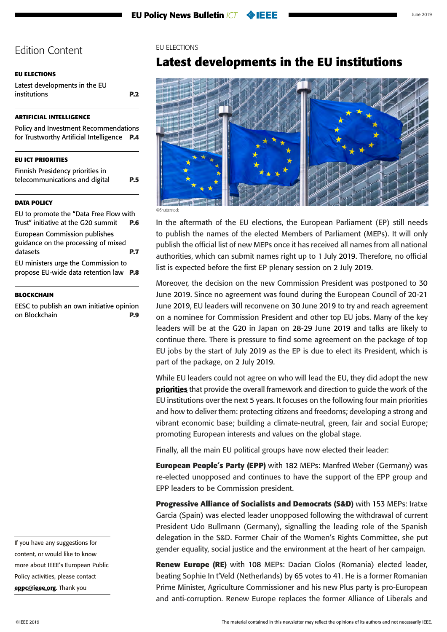#### <span id="page-1-0"></span>**EU ELECTIONS**

Latest developments in the EU institutions **P.2**

#### **[ARTIFICIAL INTELLIGENCE](#page-3-0)**

[Policy and Investment Recommendations](#page-3-0) [for Trustworthy Artificial Intelligence](#page-3-0) **P.4**

#### **[EU ICT PRIORITIES](#page-4-0)**

[Finnish Presidency priorities in](#page-4-0)  [telecommunications and digital](#page-4-0) **P.5**

#### **[DATA POLICY](#page-5-0)**

[EU to promote the "Data Free Flow with](#page-5-0)  [Trust" initiative at the G20 summit](#page-5-0) **P.6** [European Commission publishes](#page-6-0)  [guidance on the processing of mixed](#page-6-0) 

[datasets](#page-6-0) **P.7** [EU ministers urge the Commission to](#page-7-0)  [propose EU-wide data retention law](#page-7-0) **P.8**

#### **[BLOCKCHAIN](#page-8-0)**

[EESC to publish an own initiative opinion](#page-8-0) [on Blockchain](#page-8-0) **P.9**

#### EU ELECTIONS

# **Latest developments in the EU institutions**



In the aftermath of the EU elections, the European Parliament (EP) still needs to publish the names of the elected Members of Parliament (MEPs). It will only publish the official list of new MEPs once it has received all names from all national authorities, which can submit names right up to 1 July 2019. Therefore, no official list is expected before the first EP plenary session on 2 July 2019.

Moreover, the decision on the new Commission President was postponed to 30 June 2019. Since no agreement was found during the European Council of 20-21 June 2019, EU leaders will reconvene on 30 June 2019 to try and reach agreement on a nominee for Commission President and other top EU jobs. Many of the key leaders will be at the G20 in Japan on 28-29 June 2019 and talks are likely to continue there. There is pressure to find some agreement on the package of top EU jobs by the start of July 2019 as the EP is due to elect its President, which is part of the package, on 2 July 2019.

While EU leaders could not agree on who will lead the EU, they did adopt the new [priorities](https://www.consilium.europa.eu/media/39914/a-new-strategic-agenda-2019-2024.pdf) that provide the overall framework and direction to guide the work of the EU institutions over the next 5 years. It focuses on the following four main priorities and how to deliver them: protecting citizens and freedoms; developing a strong and vibrant economic base; building a climate-neutral, green, fair and social Europe; promoting European interests and values on the global stage.

Finally, all the main EU political groups have now elected their leader:

**European People's Party (EPP)** with 182 MEPs: Manfred Weber (Germany) was re-elected unopposed and continues to have the support of the EPP group and EPP leaders to be Commission president.

**Progressive Alliance of Socialists and Democrats (S&D)** with 153 MEPs: Iratxe Garcia (Spain) was elected leader unopposed following the withdrawal of current President Udo Bullmann (Germany), signalling the leading role of the Spanish delegation in the S&D. Former Chair of the Women's Rights Committee, she put gender equality, social justice and the environment at the heart of her campaign.

**Renew Europe (RE)** with 108 MEPs: Dacian Ciolos (Romania) elected leader, beating Sophie In t'Veld (Netherlands) by 65 votes to 41. He is a former Romanian Prime Minister, Agriculture Commissioner and his new Plus party is pro-European and anti-corruption. Renew Europe replaces the former Alliance of Liberals and

content, or would like to know more about IEEE's European Public Policy activities, please contact [eppc@ieee.org](mailto:eppc%40ieee.org?subject=). Thank you

If you have any suggestions for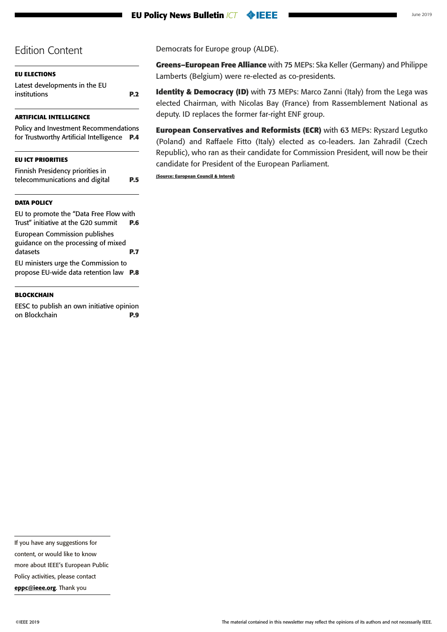#### **EU Policy News Bulletin** *ICT* **O**IEEE

### Edition Content

| <b>EU ELECTIONS</b>                           |     |
|-----------------------------------------------|-----|
| Latest developments in the EU<br>institutions | P.2 |
|                                               |     |

#### **[ARTIFICIAL INTELLIGENCE](#page-3-0)**

[Policy and Investment Recommendations](#page-3-0) [for Trustworthy Artificial Intelligence](#page-3-0) **P.4**

#### **[EU ICT PRIORITIES](#page-4-0)**

| Finnish Presidency priorities in |            |
|----------------------------------|------------|
| telecommunications and digital   | <b>P.5</b> |

#### **[DATA POLICY](#page-5-0)**

[EU to promote the "Data Free Flow with](#page-5-0)  [Trust" initiative at the G20 summit](#page-5-0) **P.6** [European Commission publishes](#page-6-0) 

[guidance on the processing of mixed](#page-6-0)  [datasets](#page-6-0) **P.7** [EU ministers urge the Commission to](#page-7-0)  [propose EU-wide data retention law](#page-7-0) **P.8**

#### **[BLOCKCHAIN](#page-8-0)**

[EESC to publish an own initiative opinion](#page-8-0) [on Blockchain](#page-8-0) **P.9** Democrats for Europe group (ALDE).

**Greens–European Free Alliance** with 75 MEPs: Ska Keller (Germany) and Philippe Lamberts (Belgium) were re-elected as co-presidents.

**Identity & Democracy (ID)** with 73 MEPs: Marco Zanni (Italy) from the Lega was elected Chairman, with Nicolas Bay (France) from Rassemblement National as deputy. ID replaces the former far-right ENF group.

**European Conservatives and Reformists (ECR)** with 63 MEPs: Ryszard Legutko (Poland) and Raffaele Fitto (Italy) elected as co-leaders. Jan Zahradil (Czech Republic), who ran as their candidate for Commission President, will now be their candidate for President of the European Parliament.

**(Source: European Council & Interel)**

more about IEEE's European Public

Policy activities, please contact

[eppc@ieee.org](mailto:eppc%40ieee.org?subject=). Thank you

If you have any suggestions for

content, or would like to know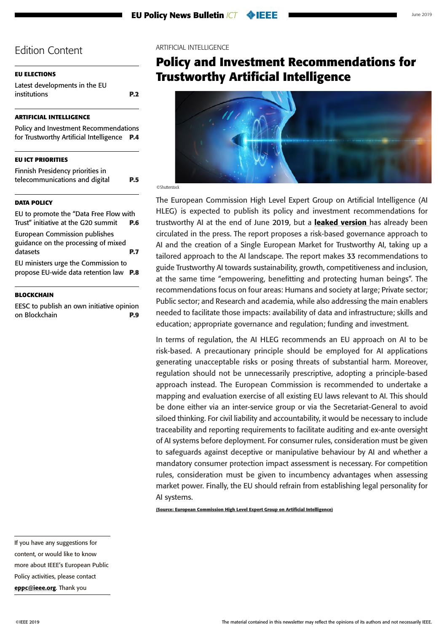### <span id="page-3-0"></span>**[EU ELECTIONS](#page-1-0)**

[Latest developments in the EU](#page-1-0)  [institutions](#page-1-0) **P.2**

### **ARTIFICIAL INTELLIGENCE**

Policy and Investment Recommendations for Trustworthy Artificial Intelligence **P.4**

### **[EU ICT PRIORITIES](#page-4-0)**

[Finnish Presidency priorities in](#page-4-0)  [telecommunications and digital](#page-4-0) **P.5**

#### **[DATA POLICY](#page-5-0)**

[EU to promote the "Data Free Flow with](#page-5-0)  [Trust" initiative at the G20 summit](#page-5-0) **P.6** [European Commission publishes](#page-6-0)  [guidance on the processing of mixed](#page-6-0)  [datasets](#page-6-0) **P.7** [EU ministers urge the Commission to](#page-7-0) 

[propose EU-wide data retention law](#page-7-0) **P.8**

#### **[BLOCKCHAIN](#page-8-0)**

[EESC to publish an own initiative opinion](#page-8-0) [on Blockchain](#page-8-0) **P.9**

#### ARTIFICIAL INTELLIGENCE

# **Policy and Investment Recommendations for Trustworthy Artificial Intelligence**



©Shutterstock

The European Commission High Level Expert Group on Artificial Intelligence (AI HLEG) is expected to publish its policy and investment recommendations for trustworthy AI at the end of June 2019, but a **[leaked version](https://www.politico.eu/wp-content/uploads/2019/06/POLITICO-draft-confidential-AI-policy-recommendations-June-2019.pdf?utm_source=POLITICO.EU&utm_campaign=5060805899-EMAIL_CAMPAIGN_2019_06_19_01_48&utm_medium=email&utm_term=0_10959edeb5-5060805899-190351733)** has already been circulated in the press. The report proposes a risk-based governance approach to AI and the creation of a Single European Market for Trustworthy AI, taking up a tailored approach to the AI landscape. The report makes 33 recommendations to guide Trustworthy AI towards sustainability, growth, competitiveness and inclusion, at the same time "empowering, benefitting and protecting human beings". The recommendations focus on four areas: Humans and society at large; Private sector; Public sector; and Research and academia, while also addressing the main enablers needed to facilitate those impacts: availability of data and infrastructure; skills and education; appropriate governance and regulation; funding and investment.

In terms of regulation, the AI HLEG recommends an EU approach on AI to be risk-based. A precautionary principle should be employed for AI applications generating unacceptable risks or posing threats of substantial harm. Moreover, regulation should not be unnecessarily prescriptive, adopting a principle-based approach instead. The European Commission is recommended to undertake a mapping and evaluation exercise of all existing EU laws relevant to AI. This should be done either via an inter-service group or via the Secretariat-General to avoid siloed thinking. For civil liability and accountability, it would be necessary to include traceability and reporting requirements to facilitate auditing and ex-ante oversight of AI systems before deployment. For consumer rules, consideration must be given to safeguards against deceptive or manipulative behaviour by AI and whether a mandatory consumer protection impact assessment is necessary. For competition rules, consideration must be given to incumbency advantages when assessing market power. Finally, the EU should refrain from establishing legal personality for AI systems.

**(Source: European Commission High Level Expert Group on Artificial Intelligence)**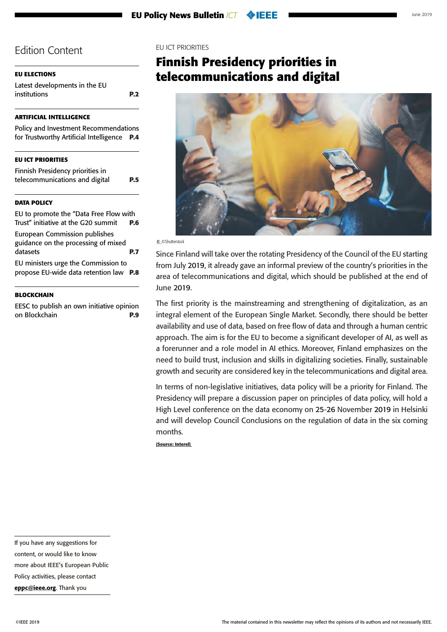### <span id="page-4-0"></span>**[EU ELECTIONS](#page-1-0)**

[Latest developments in the EU](#page-1-0)  [institutions](#page-1-0) **P.2**

### **[ARTIFICIAL INTELLIGENCE](#page-3-0)**

| Policy and Investment Recommendations       |  |
|---------------------------------------------|--|
| for Trustworthy Artificial Intelligence P.4 |  |

### **EU ICT PRIORITIES**

Finnish Presidency priorities in telecommunications and digital **P.5**

### **[DATA POLICY](#page-5-0)**

[EU to promote the "Data Free Flow with](#page-5-0)  [Trust" initiative at the G20 summit](#page-5-0) **P.6**

[European Commission publishes](#page-6-0)  [guidance on the processing of mixed](#page-6-0)  [datasets](#page-6-0) **P.7** [EU ministers urge the Commission to](#page-7-0) 

[propose EU-wide data retention law](#page-7-0) **P.8**

#### **[BLOCKCHAIN](#page-8-0)**

[EESC to publish an own initiative opinion](#page-8-0) [on Blockchain](#page-8-0) **P.9**

#### EU ICT PRIORITIES

# **Finnish Presidency priorities in telecommunications and digital**



© ©Shutterstock

Since Finland will take over the rotating Presidency of the Council of the EU starting from July 2019, it already gave an informal preview of the country's priorities in the area of telecommunications and digital, which should be published at the end of June 2019.

The first priority is the mainstreaming and strengthening of digitalization, as an integral element of the European Single Market. Secondly, there should be better availability and use of data, based on free flow of data and through a human centric approach. The aim is for the EU to become a significant developer of AI, as well as a forerunner and a role model in AI ethics. Moreover, Finland emphasizes on the need to build trust, inclusion and skills in digitalizing societies. Finally, sustainable growth and security are considered key in the telecommunications and digital area.

In terms of non-legislative initiatives, data policy will be a priority for Finland. The Presidency will prepare a discussion paper on principles of data policy, will hold a High Level conference on the data economy on 25-26 November 2019 in Helsinki and will develop Council Conclusions on the regulation of data in the six coming months.

**(Source: Interel)** 

If you have any suggestions for

content, or would like to know

more about IEEE's European Public

Policy activities, please contact

[eppc@ieee.org](mailto:eppc%40ieee.org?subject=). Thank you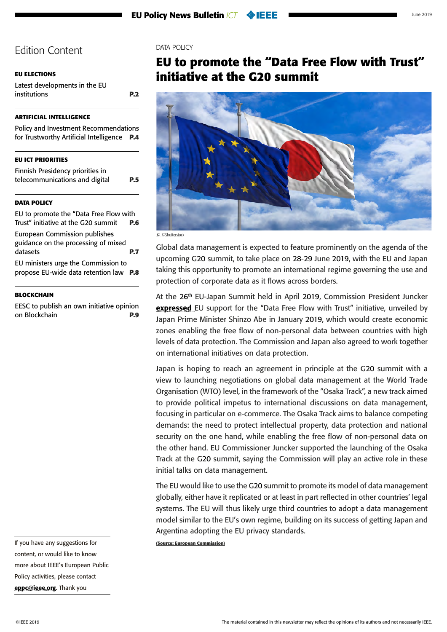### <span id="page-5-0"></span>**[EU ELECTIONS](#page-1-0)**

[Latest developments in the EU](#page-1-0)  [institutions](#page-1-0) **P.2**

### **[ARTIFICIAL INTELLIGENCE](#page-3-0)**

[Policy and Investment Recommendations](#page-3-0) [for Trustworthy Artificial Intelligence](#page-3-0) **P.4**

### **[EU ICT PRIORITIES](#page-4-0)**

[Finnish Presidency priorities in](#page-4-0)  [telecommunications and digital](#page-4-0) **P.5**

### **DATA POLICY**

EU to promote the "Data Free Flow with Trust" initiative at the G20 summit **P.6** [European Commission publishes](#page-6-0) 

[guidance on the processing of mixed](#page-6-0)  [datasets](#page-6-0) **P.7** [EU ministers urge the Commission to](#page-7-0) 

[propose EU-wide data retention law](#page-7-0) **P.8**

#### **[BLOCKCHAIN](#page-8-0)**

[EESC to publish an own initiative opinion](#page-8-0) [on Blockchain](#page-8-0) **P.9** DATA POLICY

# **EU to promote the "Data Free Flow with Trust" initiative at the G20 summit**



© ©Shutterstock

Global data management is expected to feature prominently on the agenda of the upcoming G20 summit, to take place on 28-29 June 2019, with the EU and Japan taking this opportunity to promote an international regime governing the use and protection of corporate data as it flows across borders.

At the 26th EU-Japan Summit held in April 2019, Commission President Juncker [expressed](https://ec.europa.eu/commission/news/president-juncker-26th-eu-japan-summit-2019-apr-25_en) EU support for the "Data Free Flow with Trust" initiative, unveiled by Japan Prime Minister Shinzo Abe in January 2019, which would create economic zones enabling the free flow of non-personal data between countries with high levels of data protection. The Commission and Japan also agreed to work together on international initiatives on data protection.

Japan is hoping to reach an agreement in principle at the G20 summit with a view to launching negotiations on global data management at the World Trade Organisation (WTO) level, in the framework of the "Osaka Track", a new track aimed to provide political impetus to international discussions on data management, focusing in particular on e-commerce. The Osaka Track aims to balance competing demands: the need to protect intellectual property, data protection and national security on the one hand, while enabling the free flow of non-personal data on the other hand. EU Commissioner Juncker supported the launching of the Osaka Track at the G20 summit, saying the Commission will play an active role in these initial talks on data management.

The EU would like to use the G20 summit to promote its model of data management globally, either have it replicated or at least in part reflected in other countries' legal systems. The EU will thus likely urge third countries to adopt a data management model similar to the EU's own regime, building on its success of getting Japan and Argentina adopting the EU privacy standards.

**(Source: European Commission)**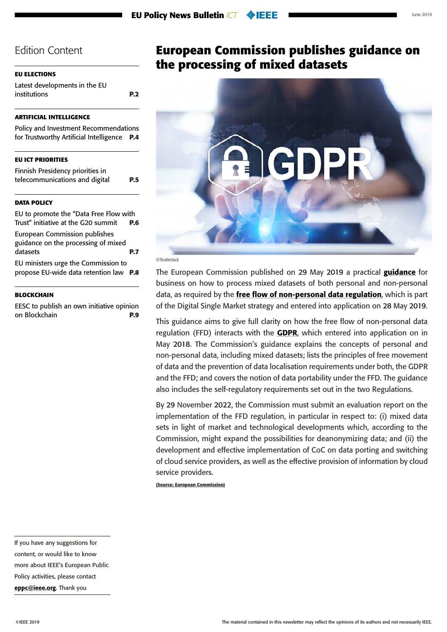#### <span id="page-6-0"></span>**[EU ELECTIONS](#page-1-0)**

[Latest developments in the EU](#page-1-0)  [institutions](#page-1-0) **P.2**

#### **[ARTIFICIAL INTELLIGENCE](#page-3-0)**

[Policy and Investment Recommendations](#page-3-0) [for Trustworthy Artificial Intelligence](#page-3-0) **P.4**

#### **[EU ICT PRIORITIES](#page-4-0)**

[Finnish Presidency priorities in](#page-4-0)  [telecommunications and digital](#page-4-0) **P.5**

### **[DATA POLICY](#page-5-0)**

[EU to promote the "Data Free Flow with](#page-5-0)  [Trust" initiative at the G20 summit](#page-5-0) **P.6**

European Commission publishes guidance on the processing of mixed datasets **P.7** [EU ministers urge the Commission to](#page-7-0) 

[propose EU-wide data retention law](#page-7-0) **P.8**

#### **[BLOCKCHAIN](#page-8-0)**

[EESC to publish an own initiative opinion](#page-8-0) [on Blockchain](#page-8-0) **P.9**

# **European Commission publishes guidance on the processing of mixed datasets**



#### ©Shutterstock

The European Commission published on 29 May 2019 a practical [guidance](https://eur-lex.europa.eu/legal-content/EN/TXT/PDF/?uri=COM:2019:250:FIN&from=EN) for business on how to process mixed datasets of both personal and non-personal data, as required by the [free flow of non-personal data regulation](https://eur-lex.europa.eu/legal-content/EN/TXT/PDF/?uri=CELEX:32018R1807&from=EN), which is part of the Digital Single Market strategy and entered into application on 28 May 2019.

This guidance aims to give full clarity on how the free flow of non-personal data regulation (FFD) interacts with the **[GDPR](https://eur-lex.europa.eu/legal-content/EN/TXT/PDF/?uri=CELEX:02016R0679-20160504&from=EN)**, which entered into application on in May 2018. The Commission's guidance explains the concepts of personal and non-personal data, including mixed datasets; lists the principles of free movement of data and the prevention of data localisation requirements under both, the GDPR and the FFD; and covers the notion of data portability under the FFD. The guidance also includes the self-regulatory requirements set out in the two Regulations.

By 29 November 2022, the Commission must submit an evaluation report on the implementation of the FFD regulation, in particular in respect to: (i) mixed data sets in light of market and technological developments which, according to the Commission, might expand the possibilities for deanonymizing data; and (ii) the development and effective implementation of CoC on data porting and switching of cloud service providers, as well as the effective provision of information by cloud service providers.

**(Source: European Commission)**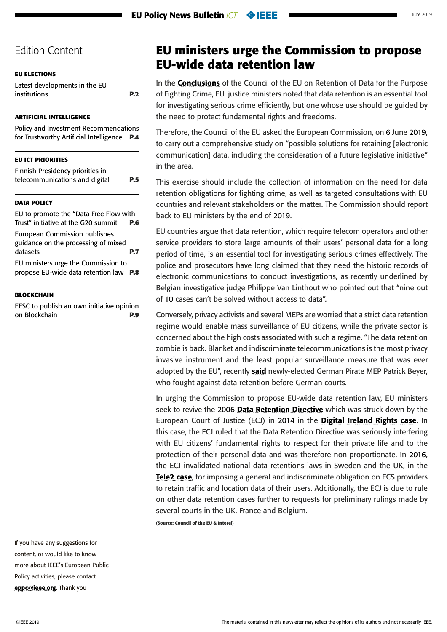<span id="page-7-0"></span>

[Latest developments in the EU](#page-1-0)  [institutions](#page-1-0) **P.2**

#### **[ARTIFICIAL INTELLIGENCE](#page-3-0)**

[Policy and Investment Recommendations](#page-3-0) [for Trustworthy Artificial Intelligence](#page-3-0) **P.4**

#### **[EU ICT PRIORITIES](#page-4-0)**

| Finnish Presidency priorities in |            |
|----------------------------------|------------|
| telecommunications and digital   | <b>P.5</b> |

#### **[DATA POLICY](#page-5-0)**

[EU to promote the "Data Free Flow with](#page-5-0)  [Trust" initiative at the G20 summit](#page-5-0) **P.6** [European Commission publishes](#page-6-0)  [guidance on the processing of mixed](#page-6-0)  [datasets](#page-6-0) **P.7** EU ministers urge the Commission to propose EU-wide data retention law **P.8**

**[BLOCKCHAIN](#page-8-0)**

[EESC to publish an own initiative opinion](#page-8-0) [on Blockchain](#page-8-0) **P.9**

# **EU ministers urge the Commission to propose EU-wide data retention law**

In the **[Conclusions](http://data.consilium.europa.eu/doc/document/ST-9663-2019-INIT/en/pdf)** of the Council of the EU on Retention of Data for the Purpose of Fighting Crime, EU justice ministers noted that data retention is an essential tool for investigating serious crime efficiently, but one whose use should be guided by the need to protect fundamental rights and freedoms.

Therefore, the Council of the EU asked the European Commission, on 6 June 2019, to carry out a comprehensive study on "possible solutions for retaining [electronic communication] data, including the consideration of a future legislative initiative" in the area.

This exercise should include the collection of information on the need for data retention obligations for fighting crime, as well as targeted consultations with EU countries and relevant stakeholders on the matter. The Commission should report back to EU ministers by the end of 2019.

EU countries argue that data retention, which require telecom operators and other service providers to store large amounts of their users' personal data for a long period of time, is an essential tool for investigating serious crimes effectively. The police and prosecutors have long claimed that they need the historic records of electronic communications to conduct investigations, as recently underlined by Belgian investigative judge Philippe Van Linthout who pointed out that "nine out of 10 cases can't be solved without access to data".

Conversely, privacy activists and several MEPs are worried that a strict data retention regime would enable mass surveillance of EU citizens, while the private sector is concerned about the high costs associated with such a regime. "The data retention zombie is back. Blanket and indiscriminate telecommunications is the most privacy invasive instrument and the least popular surveillance measure that was ever adopted by the EU", recently [said](https://www.patrick-breyer.de/?p=588755&utm_source=POLITICO.EU&utm_campaign=d0f02080f2-EMAIL_CAMPAIGN_2019_06_06_01_29&utm_medium=email&utm_term=0_10959edeb5-d0f02080f2-190351733) newly-elected German Pirate MEP Patrick Beyer, who fought against data retention before German courts.

In urging the Commission to propose EU-wide data retention law, EU ministers seek to revive the 2006 [Data Retention Directive](https://en.wikipedia.org/wiki/Data_Retention_Directive) which was struck down by the European Court of Justice (ECJ) in 2014 in the **[Digital Ireland Rights case](https://curia.europa.eu/jcms/upload/docs/application/pdf/2014-04/cp140054en.pdf)**. In this case, the ECJ ruled that the Data Retention Directive was seriously interfering with EU citizens' fundamental rights to respect for their private life and to the protection of their personal data and was therefore non-proportionate. In 2016, the ECJ invalidated national data retentions laws in Sweden and the UK, in the [Tele2 case](https://curia.europa.eu/jcms/upload/docs/application/pdf/2016-12/cp160145en.pdf), for imposing a general and indiscriminate obligation on ECS providers to retain traffic and location data of their users. Additionally, the ECJ is due to rule on other data retention cases further to requests for preliminary rulings made by several courts in the UK, France and Belgium.

**(Source: Council of the EU & Interel)**